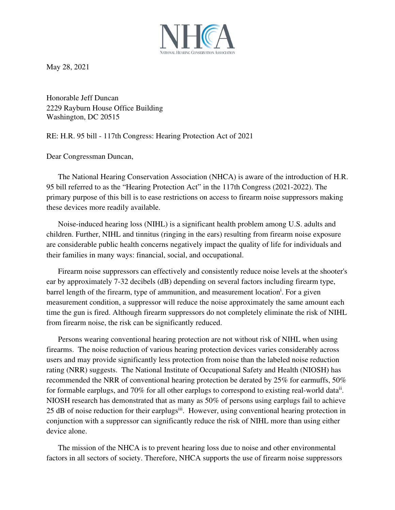

May 28, 2021

Honorable Jeff Duncan 2229 Rayburn House Office Building Washington, DC 20515

RE: H.R. 95 bill - 117th Congress: Hearing Protection Act of 2021

Dear Congressman Duncan,

The National Hearing Conservation Association (NHCA) is aware of the introduction of H.R. 95 bill referred to as the "Hearing Protection Act" in the 117th Congress (2021-2022). The primary purpose of this bill is to ease restrictions on access to firearm noise suppressors making these devices more readily available.

Noise-induced hearing loss (NIHL) is a significant health problem among U.S. adults and children. Further, NIHL and tinnitus (ringing in the ears) resulting from firearm noise exposure are considerable public health concerns negatively impact the quality of life for individuals and their families in many ways: financial, social, and occupational.

Firearm noise suppressors can effectively and consistently reduce noise levels at the shooter's ear by approximately 7-32 decibels (dB) depending on several factors including firearm type, barrel length of the firearm, type of ammunition, and measurement location<sup>i</sup>. For a given measurement condition, a suppressor will reduce the noise approximately the same amount each time the gun is fired. Although firearm suppressors do not completely eliminate the risk of NIHL from firearm noise, the risk can be significantly reduced.

Persons wearing conventional hearing protection are not without risk of NIHL when using firearms. The noise reduction of various hearing protection devices varies considerably across users and may provide significantly less protection from noise than the labeled noise reduction rating (NRR) suggests. The National Institute of Occupational Safety and Health (NIOSH) has recommended the NRR of conventional hearing protection be derated by 25% for earmuffs, 50% for formable earplugs, and 70% for all other earplugs to correspond to existing real-world data<sup>ii</sup>. NIOSH research has demonstrated that as many as 50% of persons using earplugs fail to achieve 25 dB of noise reduction for their earplugs<sup>iii</sup>. However, using conventional hearing protection in conjunction with a suppressor can significantly reduce the risk of NIHL more than using either device alone.

The mission of the NHCA is to prevent hearing loss due to noise and other environmental factors in all sectors of society. Therefore, NHCA supports the use of firearm noise suppressors